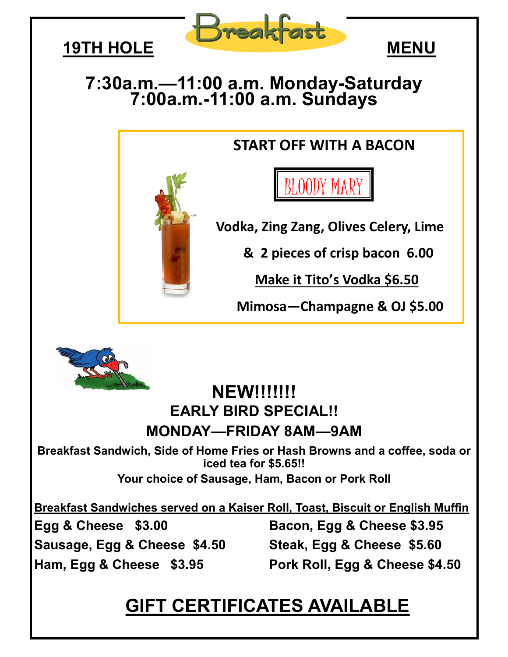



## **7:30a.m.—11:00 a.m. Monday-Saturday 7:00a.m.-11:00 a.m. Sundays**

### **START OFF WITH A BACON**

BLOODY MARY

 **Vodka, Zing Zang, Olives Celery, Lime** 

 **& 2 pieces of crisp bacon 6.00** 

 **Make it Tito's Vodka \$6.50**

 **Mimosa—Champagne & OJ \$5.00**



#### **NEW!!!!!!! EARLY BIRD SPECIAL!! MONDAY—FRIDAY 8AM—9AM**

**Breakfast Sandwich, Side of Home Fries or Hash Browns and a coffee, soda or iced tea for \$5.65!!**

**Your choice of Sausage, Ham, Bacon or Pork Roll**

**Breakfast Sandwiches served on a Kaiser Roll, Toast, Biscuit or English Muffin** 

**Sausage, Egg & Cheese \$4.50 Steak, Egg & Cheese \$5.60**

**Egg & Cheese \$3.00 Bacon, Egg & Cheese \$3.95**

**Ham, Egg & Cheese \$3.95 Pork Roll, Egg & Cheese \$4.50**

# **GIFT CERTIFICATES AVAILABLE**